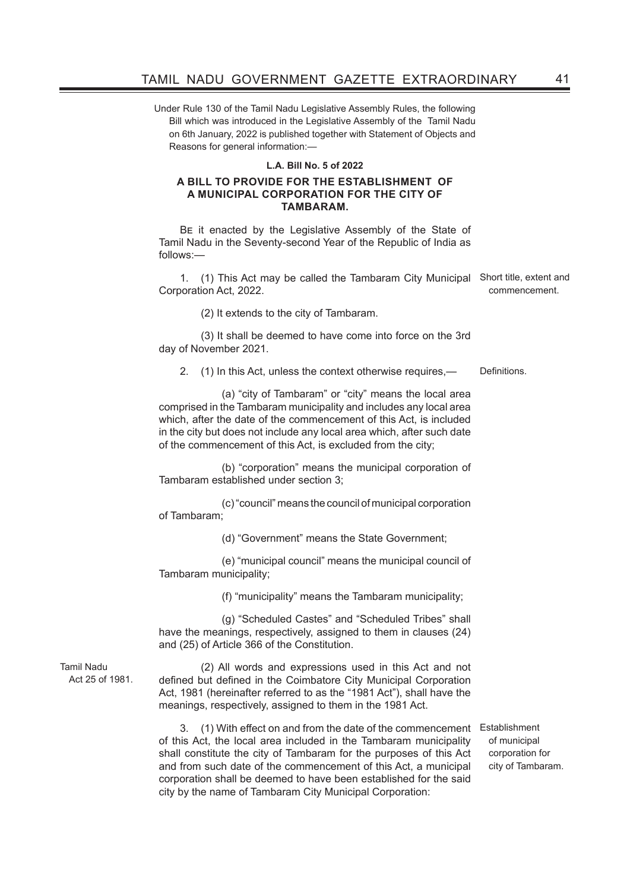Under Rule 130 of the Tamil Nadu Legislative Assembly Rules, the following Bill which was introduced in the Legislative Assembly of the Tamil Nadu on 6th January, 2022 is published together with Statement of Objects and Reasons for general information:—

#### **L.A. Bill No. 5 of 2022**

## **A BILL TO PROVIDE FOR THE ESTABLISHMENT OF A MUNICIPAL CORPORATION FOR THE CITY OF TAMBARAM.**

Be it enacted by the Legislative Assembly of the State of Tamil Nadu in the Seventy-second Year of the Republic of India as follows:—

1. (1) This Act may be called the Tambaram City Municipal Short title, extent and Corporation Act, 2022.

(2) It extends to the city of Tambaram.

(3) It shall be deemed to have come into force on the 3rd day of November 2021.

2. (1) In this Act, unless the context otherwise requires, — Definitions.

 (a) "city of Tambaram" or "city" means the local area comprised in the Tambaram municipality and includes any local area which, after the date of the commencement of this Act, is included in the city but does not include any local area which, after such date of the commencement of this Act, is excluded from the city;

 (b) "corporation" means the municipal corporation of Tambaram established under section 3;

 (c) "council" means the council of municipal corporation of Tambaram;

(d) "Government" means the State Government;

 (e) "municipal council" means the municipal council of Tambaram municipality;

(f) "municipality" means the Tambaram municipality;

 (g) "Scheduled Castes" and "Scheduled Tribes" shall have the meanings, respectively, assigned to them in clauses (24) and (25) of Article 366 of the Constitution.

(2) All words and expressions used in this Act and not defined but defined in the Coimbatore City Municipal Corporation Act, 1981 (hereinafter referred to as the "1981 Act"), shall have the meanings, respectively, assigned to them in the 1981 Act.

3. (1) With effect on and from the date of the commencement Establishment of this Act, the local area included in the Tambaram municipality shall constitute the city of Tambaram for the purposes of this Act and from such date of the commencement of this Act, a municipal corporation shall be deemed to have been established for the said city by the name of Tambaram City Municipal Corporation:

of municipal corporation for city of Tambaram.

Tamil Nadu Act 25 of 1981.

commencement.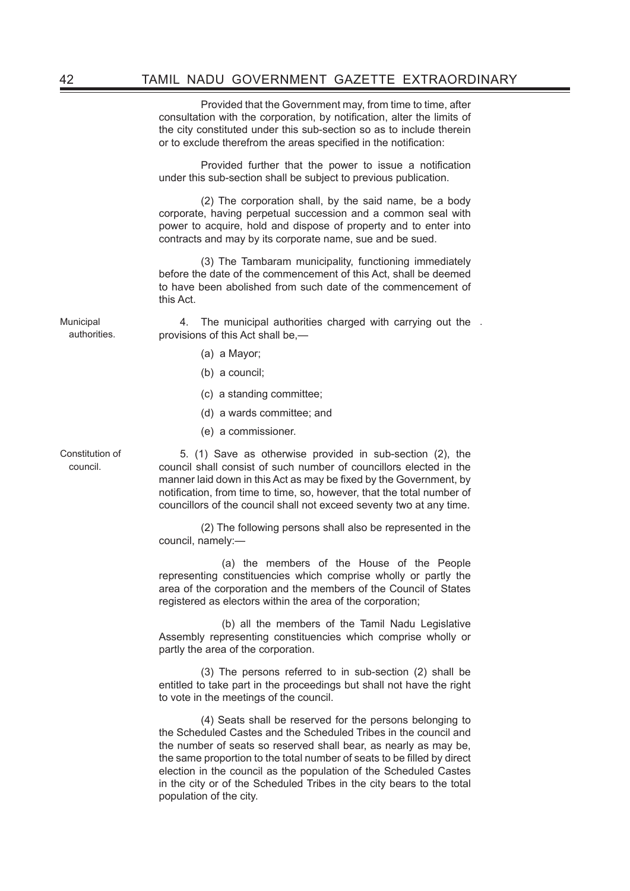Provided that the Government may, from time to time, after consultation with the corporation, by notification, alter the limits of the city constituted under this sub-section so as to include therein or to exclude therefrom the areas specified in the notification:

 Provided further that the power to issue a notification under this sub-section shall be subject to previous publication.

(2) The corporation shall, by the said name, be a body corporate, having perpetual succession and a common seal with power to acquire, hold and dispose of property and to enter into contracts and may by its corporate name, sue and be sued.

(3) The Tambaram municipality, functioning immediately before the date of the commencement of this Act, shall be deemed to have been abolished from such date of the commencement of this Act.

authorities. 4. The municipal authorities charged with carrying out the . provisions of this Act shall be,—

- (a) a Mayor;
- (b) a council;
- (c) a standing committee;
- (d) a wards committee; and
- (e) a commissioner.

5. (1) Save as otherwise provided in sub-section (2), the council shall consist of such number of councillors elected in the manner laid down in this Act as may be fixed by the Government, by notification, from time to time, so, however, that the total number of councillors of the council shall not exceed seventy two at any time.

(2) The following persons shall also be represented in the council, namely:—

 (a) the members of the House of the People representing constituencies which comprise wholly or partly the area of the corporation and the members of the Council of States registered as electors within the area of the corporation;

 (b) all the members of the Tamil Nadu Legislative Assembly representing constituencies which comprise wholly or partly the area of the corporation.

(3) The persons referred to in sub-section (2) shall be entitled to take part in the proceedings but shall not have the right to vote in the meetings of the council.

(4) Seats shall be reserved for the persons belonging to the Scheduled Castes and the Scheduled Tribes in the council and the number of seats so reserved shall bear, as nearly as may be, the same proportion to the total number of seats to be filled by direct election in the council as the population of the Scheduled Castes in the city or of the Scheduled Tribes in the city bears to the total population of the city.

Constitution of council.

Municipal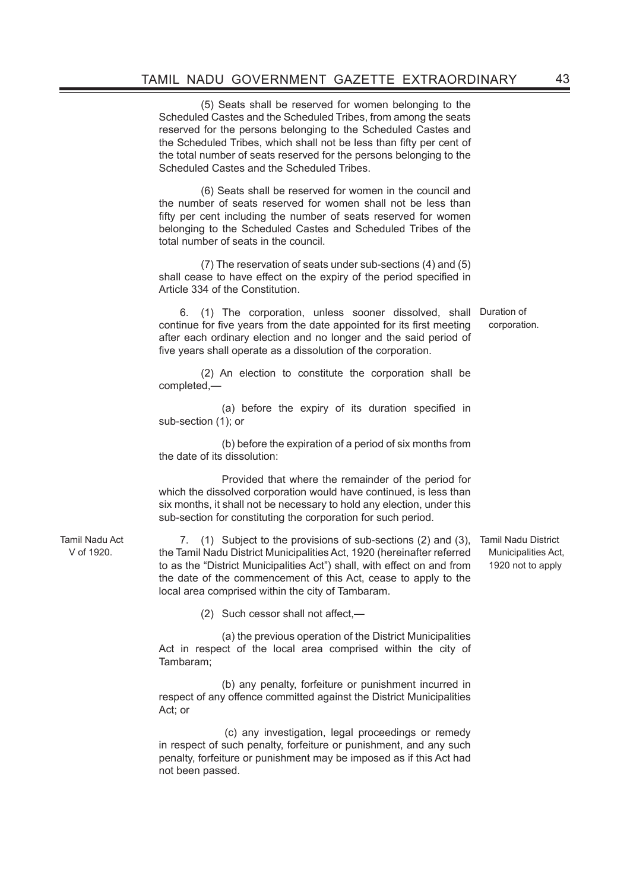(5) Seats shall be reserved for women belonging to the Scheduled Castes and the Scheduled Tribes, from among the seats reserved for the persons belonging to the Scheduled Castes and the Scheduled Tribes, which shall not be less than fifty per cent of the total number of seats reserved for the persons belonging to the Scheduled Castes and the Scheduled Tribes.

(6) Seats shall be reserved for women in the council and the number of seats reserved for women shall not be less than fifty per cent including the number of seats reserved for women belonging to the Scheduled Castes and Scheduled Tribes of the total number of seats in the council.

(7) The reservation of seats under sub-sections (4) and (5) shall cease to have effect on the expiry of the period specified in Article 334 of the Constitution.

6. (1) The corporation, unless sooner dissolved, shall Duration of continue for five years from the date appointed for its first meeting after each ordinary election and no longer and the said period of five years shall operate as a dissolution of the corporation.

(2) An election to constitute the corporation shall be completed,—

 (a) before the expiry of its duration specified in sub-section (1); or

 (b) before the expiration of a period of six months from the date of its dissolution:

 Provided that where the remainder of the period for which the dissolved corporation would have continued, is less than six months, it shall not be necessary to hold any election, under this sub-section for constituting the corporation for such period.

7. (1) Subject to the provisions of sub-sections (2) and (3), Tamil Nadu District the Tamil Nadu District Municipalities Act, 1920 (hereinafter referred to as the "District Municipalities Act") shall, with effect on and from the date of the commencement of this Act, cease to apply to the local area comprised within the city of Tambaram.

 $(2)$  Such cessor shall not affect,—

Tamil Nadu Act V of 1920.

> (a) the previous operation of the District Municipalities Act in respect of the local area comprised within the city of Tambaram;

> (b) any penalty, forfeiture or punishment incurred in respect of any offence committed against the District Municipalities Act; or

> (c) any investigation, legal proceedings or remedy in respect of such penalty, forfeiture or punishment, and any such penalty, forfeiture or punishment may be imposed as if this Act had not been passed.

Municipalities Act, 1920 not to apply

corporation.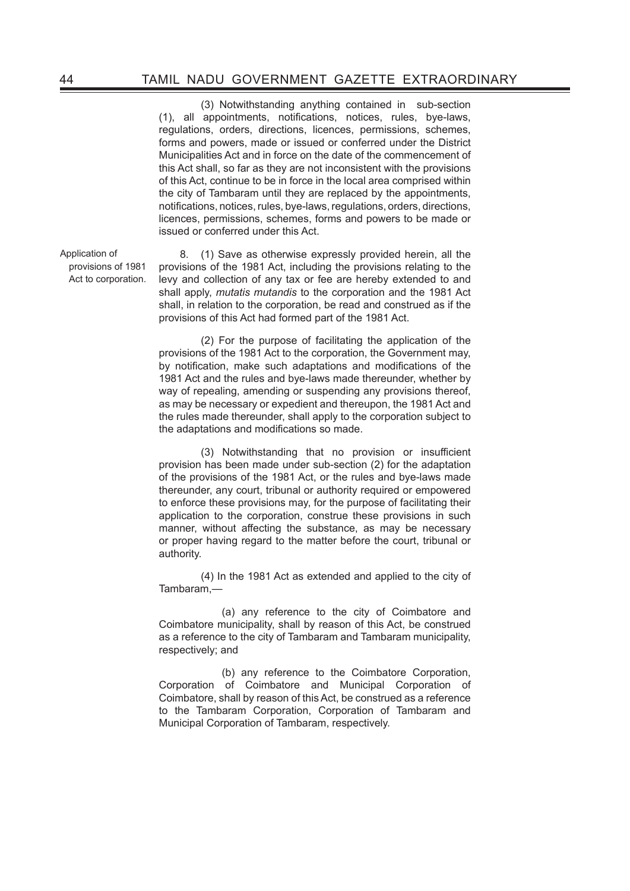(3) Notwithstanding anything contained in sub-section (1), all appointments, notifications, notices, rules, bye-laws, regulations, orders, directions, licences, permissions, schemes, forms and powers, made or issued or conferred under the District Municipalities Act and in force on the date of the commencement of this Act shall, so far as they are not inconsistent with the provisions of this Act, continue to be in force in the local area comprised within the city of Tambaram until they are replaced by the appointments, notifications, notices, rules, bye-laws, regulations, orders, directions, licences, permissions, schemes, forms and powers to be made or issued or conferred under this Act.

8. (1) Save as otherwise expressly provided herein, all the provisions of the 1981 Act, including the provisions relating to the levy and collection of any tax or fee are hereby extended to and shall apply, *mutatis mutandis* to the corporation and the 1981 Act shall, in relation to the corporation, be read and construed as if the provisions of this Act had formed part of the 1981 Act.

(2) For the purpose of facilitating the application of the provisions of the 1981 Act to the corporation, the Government may, by notification, make such adaptations and modifications of the 1981 Act and the rules and bye-laws made thereunder, whether by way of repealing, amending or suspending any provisions thereof, as may be necessary or expedient and thereupon, the 1981 Act and the rules made thereunder, shall apply to the corporation subject to the adaptations and modifications so made.

 (3) Notwithstanding that no provision or insufficient provision has been made under sub-section (2) for the adaptation of the provisions of the 1981 Act, or the rules and bye-laws made thereunder, any court, tribunal or authority required or empowered to enforce these provisions may, for the purpose of facilitating their application to the corporation, construe these provisions in such manner, without affecting the substance, as may be necessary or proper having regard to the matter before the court, tribunal or authority.

 (4) In the 1981 Act as extended and applied to the city of Tambaram,—

 (a) any reference to the city of Coimbatore and Coimbatore municipality, shall by reason of this Act, be construed as a reference to the city of Tambaram and Tambaram municipality, respectively; and

 (b) any reference to the Coimbatore Corporation, Corporation of Coimbatore and Municipal Corporation of Coimbatore, shall by reason of this Act, be construed as a reference to the Tambaram Corporation, Corporation of Tambaram and Municipal Corporation of Tambaram, respectively.

Application of provisions of 1981 Act to corporation.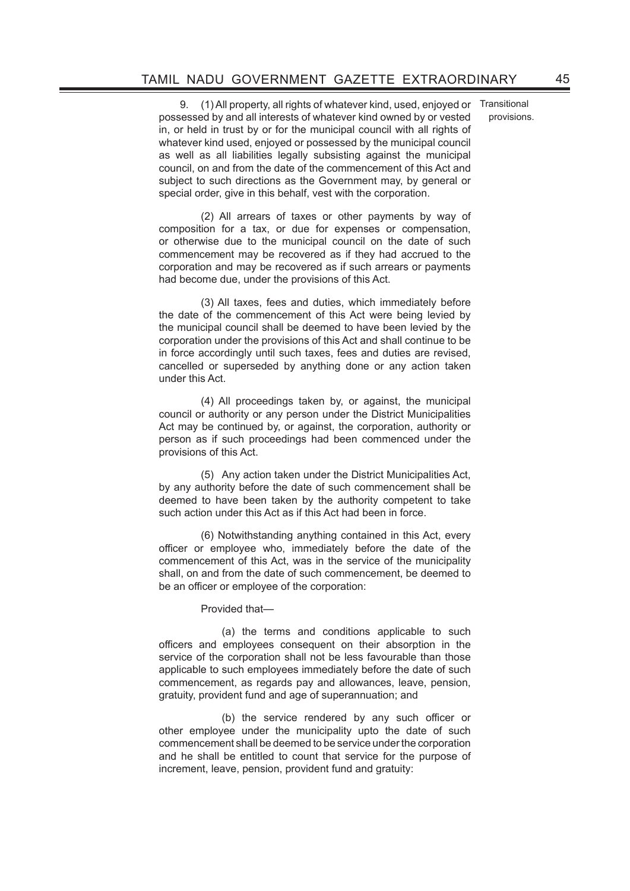9. (1)All property, all rights of whatever kind, used, enjoyed or possessed by and all interests of whatever kind owned by or vested in, or held in trust by or for the municipal council with all rights of whatever kind used, enjoyed or possessed by the municipal council as well as all liabilities legally subsisting against the municipal council, on and from the date of the commencement of this Act and subject to such directions as the Government may, by general or special order, give in this behalf, vest with the corporation. **Transitional** 

(2) All arrears of taxes or other payments by way of composition for a tax, or due for expenses or compensation, or otherwise due to the municipal council on the date of such commencement may be recovered as if they had accrued to the corporation and may be recovered as if such arrears or payments had become due, under the provisions of this Act.

(3) All taxes, fees and duties, which immediately before the date of the commencement of this Act were being levied by the municipal council shall be deemed to have been levied by the corporation under the provisions of this Act and shall continue to be in force accordingly until such taxes, fees and duties are revised, cancelled or superseded by anything done or any action taken under this Act.

(4) All proceedings taken by, or against, the municipal council or authority or any person under the District Municipalities Act may be continued by, or against, the corporation, authority or person as if such proceedings had been commenced under the provisions of this Act.

(5) Any action taken under the District Municipalities Act, by any authority before the date of such commencement shall be deemed to have been taken by the authority competent to take such action under this Act as if this Act had been in force.

(6) Notwithstanding anything contained in this Act, every officer or employee who, immediately before the date of the commencement of this Act, was in the service of the municipality shall, on and from the date of such commencement, be deemed to be an officer or employee of the corporation:

Provided that—

 (a) the terms and conditions applicable to such officers and employees consequent on their absorption in the service of the corporation shall not be less favourable than those applicable to such employees immediately before the date of such commencement, as regards pay and allowances, leave, pension, gratuity, provident fund and age of superannuation; and

 (b) the service rendered by any such officer or other employee under the municipality upto the date of such commencement shall be deemed to be service under the corporation and he shall be entitled to count that service for the purpose of increment, leave, pension, provident fund and gratuity:

provisions.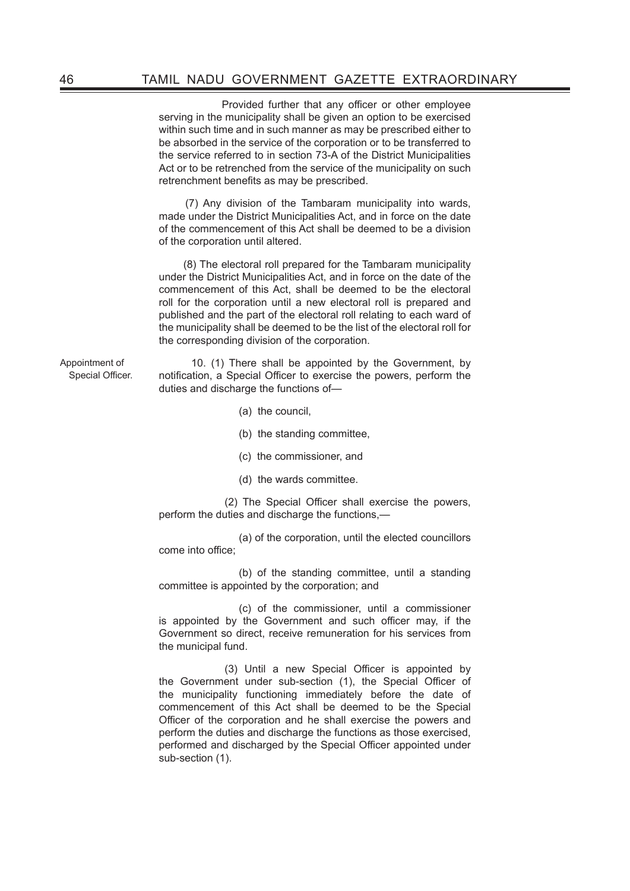Provided further that any officer or other employee serving in the municipality shall be given an option to be exercised within such time and in such manner as may be prescribed either to be absorbed in the service of the corporation or to be transferred to the service referred to in section 73-A of the District Municipalities Act or to be retrenched from the service of the municipality on such retrenchment benefits as may be prescribed.

 (7) Any division of the Tambaram municipality into wards, made under the District Municipalities Act, and in force on the date of the commencement of this Act shall be deemed to be a division of the corporation until altered.

(8) The electoral roll prepared for the Tambaram municipality under the District Municipalities Act, and in force on the date of the commencement of this Act, shall be deemed to be the electoral roll for the corporation until a new electoral roll is prepared and published and the part of the electoral roll relating to each ward of the municipality shall be deemed to be the list of the electoral roll for the corresponding division of the corporation.

Special Officer. 10. (1) There shall be appointed by the Government, by notification, a Special Officer to exercise the powers, perform the duties and discharge the functions of—

- (a) the council,
- (b) the standing committee,
- (c) the commissioner, and
- (d) the wards committee.

(2) The Special Officer shall exercise the powers, perform the duties and discharge the functions,—

(a) of the corporation, until the elected councillors come into office;

(b) of the standing committee, until a standing committee is appointed by the corporation; and

(c) of the commissioner, until a commissioner is appointed by the Government and such officer may, if the Government so direct, receive remuneration for his services from the municipal fund.

(3) Until a new Special Officer is appointed by the Government under sub-section (1), the Special Officer of the municipality functioning immediately before the date of commencement of this Act shall be deemed to be the Special Officer of the corporation and he shall exercise the powers and perform the duties and discharge the functions as those exercised, performed and discharged by the Special Officer appointed under sub-section (1).

Appointment of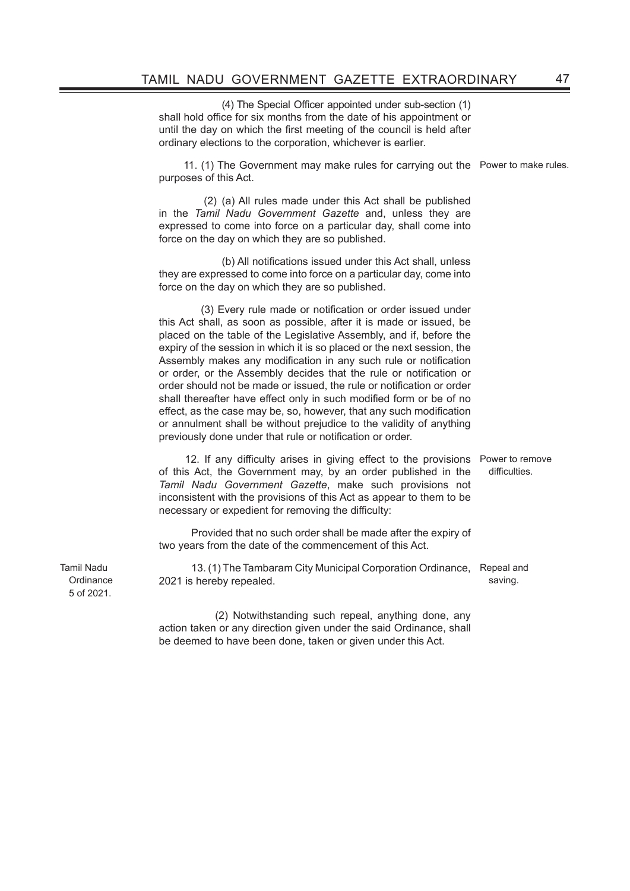(4) The Special Officer appointed under sub-section (1) shall hold office for six months from the date of his appointment or until the day on which the first meeting of the council is held after ordinary elections to the corporation, whichever is earlier.

 11. (1) The Government may make rules for carrying out the Power to make rules. purposes of this Act.

 (2) (a) All rules made under this Act shall be published in the *Tamil Nadu Government Gazette* and, unless they are expressed to come into force on a particular day, shall come into force on the day on which they are so published.

 (b) All notifications issued under this Act shall, unless they are expressed to come into force on a particular day, come into force on the day on which they are so published.

 (3) Every rule made or notification or order issued under this Act shall, as soon as possible, after it is made or issued, be placed on the table of the Legislative Assembly, and if, before the expiry of the session in which it is so placed or the next session, the Assembly makes any modification in any such rule or notification or order, or the Assembly decides that the rule or notification or order should not be made or issued, the rule or notification or order shall thereafter have effect only in such modified form or be of no effect, as the case may be, so, however, that any such modification or annulment shall be without prejudice to the validity of anything previously done under that rule or notification or order.

12. If any difficulty arises in giving effect to the provisions Power to remove of this Act, the Government may, by an order published in the *Tamil Nadu Government Gazette*, make such provisions not inconsistent with the provisions of this Act as appear to them to be necessary or expedient for removing the difficulty: difficulties.

Provided that no such order shall be made after the expiry of two years from the date of the commencement of this Act.

13. (1) The Tambaram City Municipal Corporation Ordinance, Repeal and 2021 is hereby repealed. saving.

(2) Notwithstanding such repeal, anything done, any action taken or any direction given under the said Ordinance, shall be deemed to have been done, taken or given under this Act.

Tamil Nadu Ordinance 5 of 2021.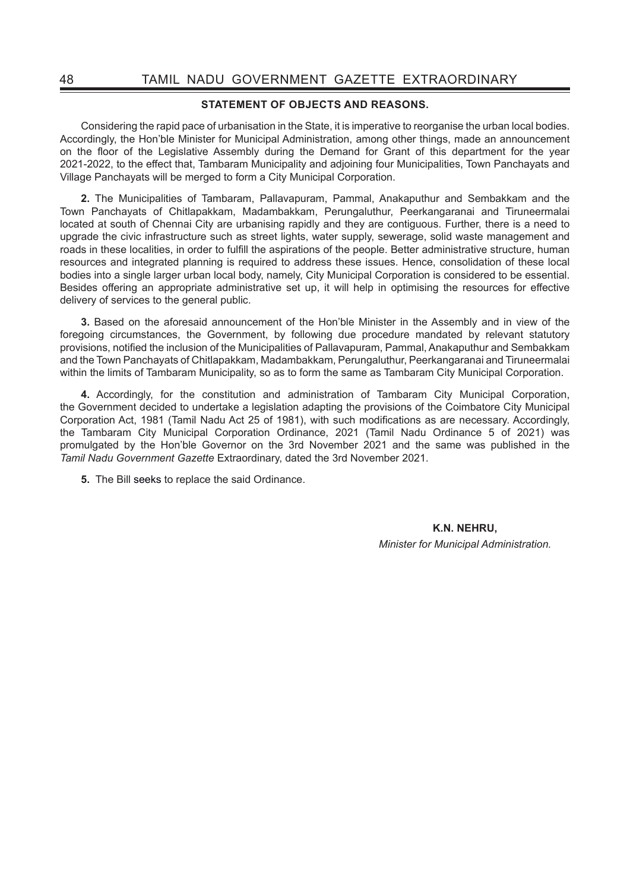### **STATEMENT OF OBJECTS AND REASONS.**

Considering the rapid pace of urbanisation in the State, it is imperative to reorganise the urban local bodies. Accordingly, the Hon'ble Minister for Municipal Administration, among other things, made an announcement on the floor of the Legislative Assembly during the Demand for Grant of this department for the year 2021-2022, to the effect that, Tambaram Municipality and adjoining four Municipalities, Town Panchayats and Village Panchayats will be merged to form a City Municipal Corporation.

**2.** The Municipalities of Tambaram, Pallavapuram, Pammal, Anakaputhur and Sembakkam and the Town Panchayats of Chitlapakkam, Madambakkam, Perungaluthur, Peerkangaranai and Tiruneermalai located at south of Chennai City are urbanising rapidly and they are contiguous. Further, there is a need to upgrade the civic infrastructure such as street lights, water supply, sewerage, solid waste management and roads in these localities, in order to fulfill the aspirations of the people. Better administrative structure, human resources and integrated planning is required to address these issues. Hence, consolidation of these local bodies into a single larger urban local body, namely, City Municipal Corporation is considered to be essential. Besides offering an appropriate administrative set up, it will help in optimising the resources for effective delivery of services to the general public.

**3.** Based on the aforesaid announcement of the Hon'ble Minister in the Assembly and in view of the foregoing circumstances, the Government, by following due procedure mandated by relevant statutory provisions, notified the inclusion of the Municipalities of Pallavapuram, Pammal, Anakaputhur and Sembakkam and the Town Panchayats of Chitlapakkam, Madambakkam, Perungaluthur, Peerkangaranai and Tiruneermalai within the limits of Tambaram Municipality, so as to form the same as Tambaram City Municipal Corporation.

**4.** Accordingly, for the constitution and administration of Tambaram City Municipal Corporation, the Government decided to undertake a legislation adapting the provisions of the Coimbatore City Municipal Corporation Act, 1981 (Tamil Nadu Act 25 of 1981), with such modifications as are necessary. Accordingly, the Tambaram City Municipal Corporation Ordinance, 2021 (Tamil Nadu Ordinance 5 of 2021) was promulgated by the Hon'ble Governor on the 3rd November 2021 and the same was published in the *Tamil Nadu Government Gazette* Extraordinary, dated the 3rd November 2021.

**5.** The Bill seeks to replace the said Ordinance.

**K.N. NEHRU,** *Minister for Municipal Administration.*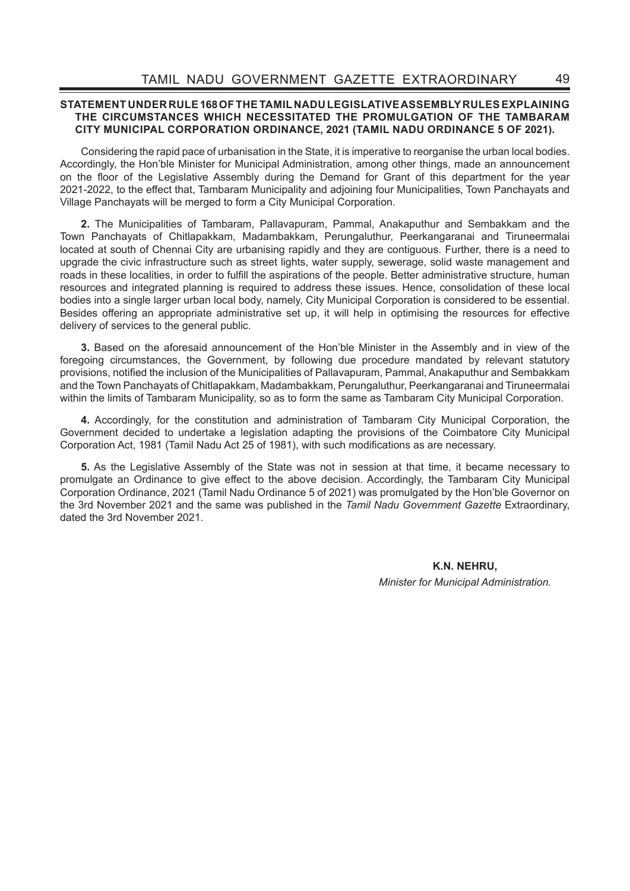## **STATEMENT UNDER RULE 168 OF THE TAMIL NADU LEGISLATIVE ASSEMBLY RULES EXPLAINING THE CIRCUMSTANCES WHICH NECESSITATED THE PROMULGATION OF THE TAMBARAM CITY MUNICIPAL CORPORATION ORDINANCE, 2021 (TAMIL NADU ORDINANCE 5 OF 2021).**

Considering the rapid pace of urbanisation in the State, it is imperative to reorganise the urban local bodies. Accordingly, the Hon'ble Minister for Municipal Administration, among other things, made an announcement on the floor of the Legislative Assembly during the Demand for Grant of this department for the year 2021-2022, to the effect that, Tambaram Municipality and adjoining four Municipalities, Town Panchayats and Village Panchayats will be merged to form a City Municipal Corporation.

**2.** The Municipalities of Tambaram, Pallavapuram, Pammal, Anakaputhur and Sembakkam and the Town Panchayats of Chitlapakkam, Madambakkam, Perungaluthur, Peerkangaranai and Tiruneermalai located at south of Chennai City are urbanising rapidly and they are contiguous. Further, there is a need to upgrade the civic infrastructure such as street lights, water supply, sewerage, solid waste management and roads in these localities, in order to fulfill the aspirations of the people. Better administrative structure, human resources and integrated planning is required to address these issues. Hence, consolidation of these local bodies into a single larger urban local body, namely, City Municipal Corporation is considered to be essential. Besides offering an appropriate administrative set up, it will help in optimising the resources for effective delivery of services to the general public.

**3.** Based on the aforesaid announcement of the Hon'ble Minister in the Assembly and in view of the foregoing circumstances, the Government, by following due procedure mandated by relevant statutory provisions, notified the inclusion of the Municipalities of Pallavapuram, Pammal, Anakaputhur and Sembakkam and the Town Panchayats of Chitlapakkam, Madambakkam, Perungaluthur, Peerkangaranai and Tiruneermalai within the limits of Tambaram Municipality, so as to form the same as Tambaram City Municipal Corporation.

**4.** Accordingly, for the constitution and administration of Tambaram City Municipal Corporation, the Government decided to undertake a legislation adapting the provisions of the Coimbatore City Municipal Corporation Act, 1981 (Tamil Nadu Act 25 of 1981), with such modifications as are necessary.

**5.** As the Legislative Assembly of the State was not in session at that time, it became necessary to promulgate an Ordinance to give effect to the above decision. Accordingly, the Tambaram City Municipal Corporation Ordinance, 2021 (Tamil Nadu Ordinance 5 of 2021) was promulgated by the Hon'ble Governor on the 3rd November 2021 and the same was published in the *Tamil Nadu Government Gazette* Extraordinary, dated the 3rd November 2021.

> **K.N. NEHRU,** *Minister for Municipal Administration.*